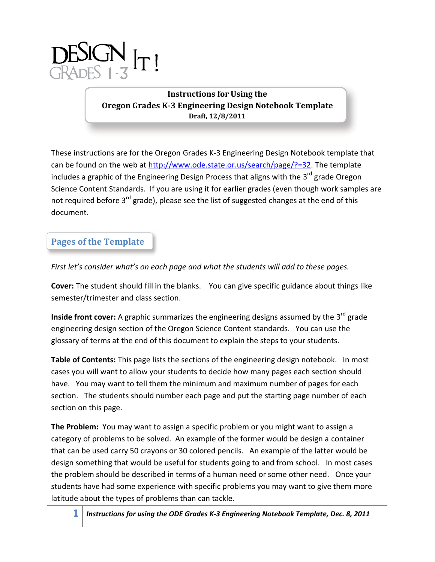

**Instructions for Using the Oregon Grades K-3 Engineering Design Notebook Template Draft, 12/8/2011**

These instructions are for the Oregon Grades K-3 Engineering Design Notebook template that can be found on the web at [http://www.ode.state.or.us/search/page/?=32.](http://www.ode.state.or.us/search/page/?=32) The template includes a graphic of the Engineering Design Process that aligns with the 3<sup>rd</sup> grade Oregon Science Content Standards. If you are using it for earlier grades (even though work samples are not required before 3<sup>rd</sup> grade), please see the list of suggested changes at the end of this document.

## **Pages of the Template**

*First let's consider what's on each page and what the students will add to these pages.*

**Cover:** The student should fill in the blanks. You can give specific guidance about things like semester/trimester and class section.

**Inside front cover:** A graphic summarizes the engineering designs assumed by the 3<sup>rd</sup> grade engineering design section of the Oregon Science Content standards. You can use the glossary of terms at the end of this document to explain the steps to your students.

**Table of Contents:** This page lists the sections of the engineering design notebook. In most cases you will want to allow your students to decide how many pages each section should have. You may want to tell them the minimum and maximum number of pages for each section. The students should number each page and put the starting page number of each section on this page.

**The Problem:** You may want to assign a specific problem or you might want to assign a category of problems to be solved. An example of the former would be design a container that can be used carry 50 crayons or 30 colored pencils. An example of the latter would be design something that would be useful for students going to and from school. In most cases the problem should be described in terms of a human need or some other need. Once your students have had some experience with specific problems you may want to give them more latitude about the types of problems than can tackle.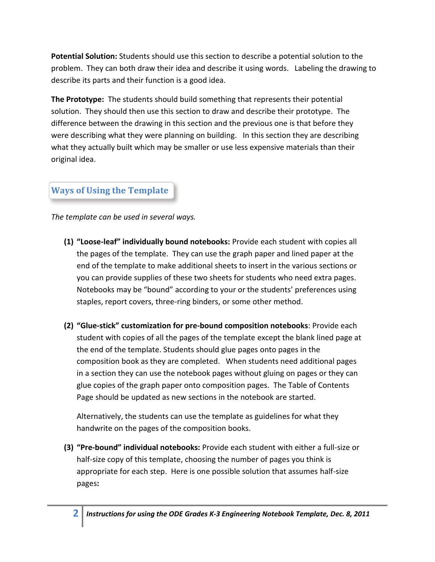**Potential Solution:** Students should use this section to describe a potential solution to the problem. They can both draw their idea and describe it using words. Labeling the drawing to describe its parts and their function is a good idea.

**The Prototype:** The students should build something that represents their potential solution. They should then use this section to draw and describe their prototype. The difference between the drawing in this section and the previous one is that before they were describing what they were planning on building. In this section they are describing what they actually built which may be smaller or use less expensive materials than their original idea.

# **Ways of Using the Template**

*The template can be used in several ways.* 

- **(1) "Loose-leaf" individually bound notebooks:** Provide each student with copies all the pages of the template. They can use the graph paper and lined paper at the end of the template to make additional sheets to insert in the various sections or you can provide supplies of these two sheets for students who need extra pages. Notebooks may be "bound" according to your or the students' preferences using staples, report covers, three-ring binders, or some other method.
- **(2) "Glue-stick" customization for pre-bound composition notebooks**: Provide each student with copies of all the pages of the template except the blank lined page at the end of the template. Students should glue pages onto pages in the composition book as they are completed. When students need additional pages in a section they can use the notebook pages without gluing on pages or they can glue copies of the graph paper onto composition pages. The Table of Contents Page should be updated as new sections in the notebook are started.

Alternatively, the students can use the template as guidelines for what they handwrite on the pages of the composition books.

**(3) "Pre-bound" individual notebooks:** Provide each student with either a full-size or half-size copy of this template, choosing the number of pages you think is appropriate for each step. Here is one possible solution that assumes half-size pages**:**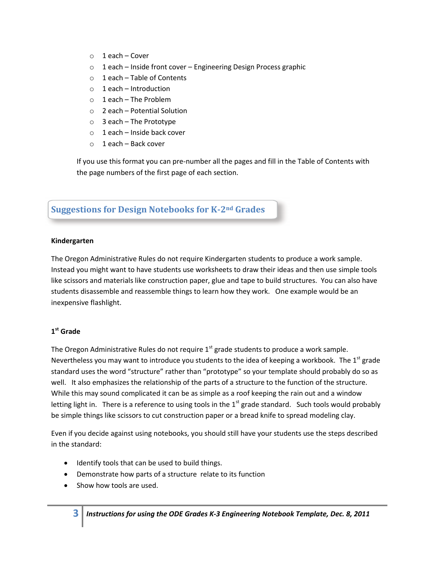- $\circ$  1 each Cover
- o 1 each Inside front cover Engineering Design Process graphic
- o 1 each Table of Contents
- $\circ$  1 each Introduction
- $\circ$  1 each The Problem
- o 2 each Potential Solution
- $\circ$  3 each The Prototype
- o 1 each Inside back cover
- $\circ$  1 each Back cover

If you use this format you can pre-number all the pages and fill in the Table of Contents with the page numbers of the first page of each section.

## **Suggestions for Design Notebooks for K-2nd Grades**

#### **Kindergarten**

The Oregon Administrative Rules do not require Kindergarten students to produce a work sample. Instead you might want to have students use worksheets to draw their ideas and then use simple tools like scissors and materials like construction paper, glue and tape to build structures. You can also have students disassemble and reassemble things to learn how they work. One example would be an inexpensive flashlight.

### **1 st Grade**

The Oregon Administrative Rules do not require  $1<sup>st</sup>$  grade students to produce a work sample. Nevertheless you may want to introduce you students to the idea of keeping a workbook. The  $1<sup>st</sup>$  grade standard uses the word "structure" rather than "prototype" so your template should probably do so as well. It also emphasizes the relationship of the parts of a structure to the function of the structure. While this may sound complicated it can be as simple as a roof keeping the rain out and a window letting light in. There is a reference to using tools in the  $1<sup>st</sup>$  grade standard. Such tools would probably be simple things like scissors to cut construction paper or a bread knife to spread modeling clay.

Even if you decide against using notebooks, you should still have your students use the steps described in the standard:

- Identify tools that can be used to build things.
- Demonstrate how parts of a structure relate to its function
- Show how tools are used.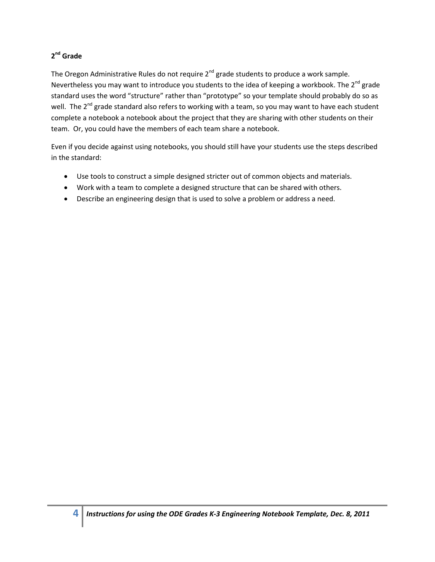### **2 nd Grade**

The Oregon Administrative Rules do not require  $2^{nd}$  grade students to produce a work sample. Nevertheless you may want to introduce you students to the idea of keeping a workbook. The  $2^{nd}$  grade standard uses the word "structure" rather than "prototype" so your template should probably do so as well. The 2<sup>nd</sup> grade standard also refers to working with a team, so you may want to have each student complete a notebook a notebook about the project that they are sharing with other students on their team. Or, you could have the members of each team share a notebook.

Even if you decide against using notebooks, you should still have your students use the steps described in the standard:

- Use tools to construct a simple designed stricter out of common objects and materials.
- Work with a team to complete a designed structure that can be shared with others.
- Describe an engineering design that is used to solve a problem or address a need.